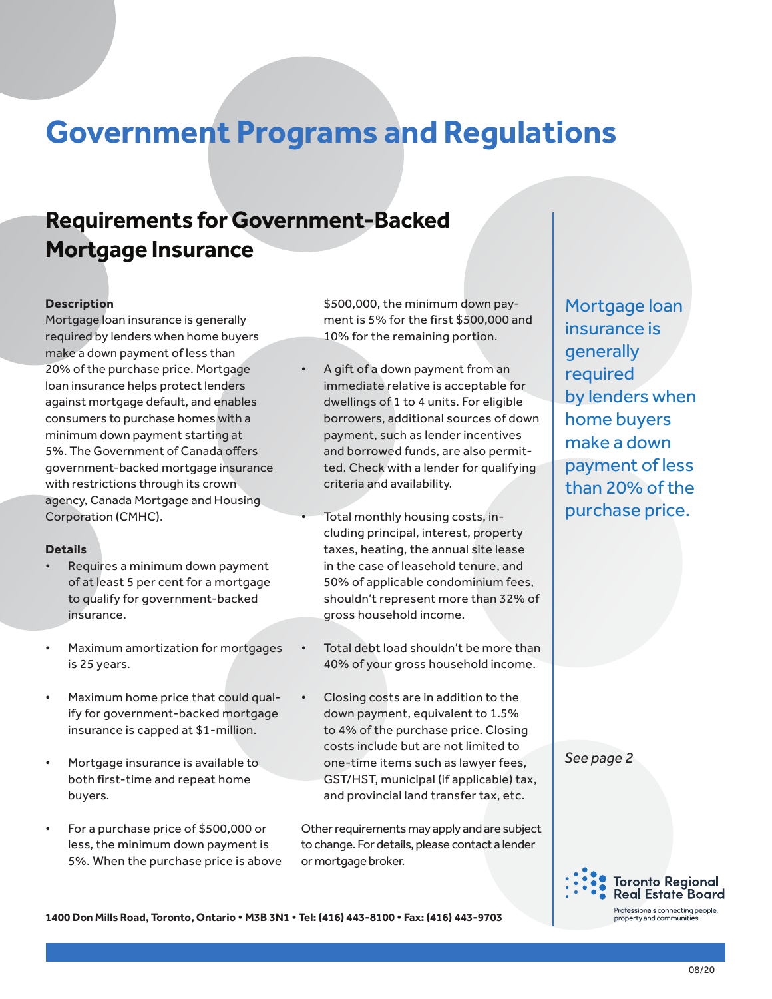## **Government Programs and Regulations**

## **Requirements for Government-Backed Mortgage Insurance**

#### **Description**

Mortgage loan insurance is generally required by lenders when home buyers make a down payment of less than 20% of the purchase price. Mortgage loan insurance helps protect lenders against mortgage default, and enables consumers to purchase homes with a minimum down payment starting at 5%. The Government of Canada offers government-backed mortgage insurance with restrictions through its crown agency, Canada Mortgage and Housing Corporation (CMHC).

#### **Details**

- Requires a minimum down payment of at least 5 per cent for a mortgage to qualify for government-backed insurance.
- Maximum amortization for mortgages is 25 years.
- Maximum home price that could qualify for government-backed mortgage insurance is capped at \$1-million.
- Mortgage insurance is available to both first-time and repeat home buyers.
- For a purchase price of \$500,000 or less, the minimum down payment is 5%. When the purchase price is above

\$500,000, the minimum down payment is 5% for the first \$500,000 and 10% for the remaining portion.

• A gift of a down payment from an immediate relative is acceptable for dwellings of 1 to 4 units. For eligible borrowers, additional sources of down payment, such as lender incentives and borrowed funds, are also permitted. Check with a lender for qualifying criteria and availability.

• Total monthly housing costs, including principal, interest, property taxes, heating, the annual site lease in the case of leasehold tenure, and 50% of applicable condominium fees, shouldn't represent more than 32% of gross household income.

- Total debt load shouldn't be more than 40% of your gross household income.
- Closing costs are in addition to the down payment, equivalent to 1.5% to 4% of the purchase price. Closing costs include but are not limited to one-time items such as lawyer fees, GST/HST, municipal (if applicable) tax, and provincial land transfer tax, etc.

Other requirements may apply and are subject to change. For details, please contact a lender or mortgage broker.

Mortgage loan insurance is generally required by lenders when home buyers make a down payment of less than 20% of the purchase price.

*See page 2*



**1400 Don Mills Road, Toronto, Ontario • M3B 3N1 • Tel: (416) 443-8100 • Fax: (416) 443-9703**